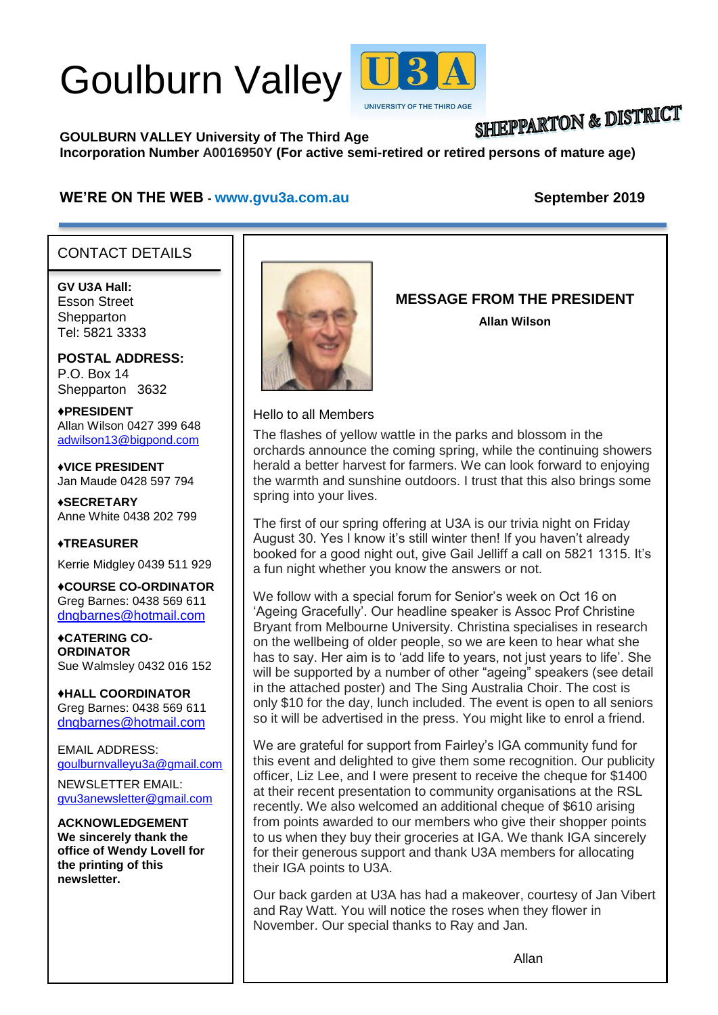# Goulburn Valley



## **SHIEPPARTON & DISTRICT**

## **GOULBURN VALLEY University of The Third Age**

**Incorporation Number A0016950Y (For active semi-retired or retired persons of mature age)**

#### **WE'RE ON THE WEB - [www.gvu3a.com.au](http://www.gvu3a.com.au/) September 2019**

#### CONTACT DETAILS

**GV U3A Hall:** Esson Street **Shepparton** Tel: 5821 3333

**POSTAL ADDRESS:** P.O. Box 14 Shepparton 3632

♦**PRESIDENT** Allan Wilson 0427 399 648 [adwilson13@bigpond.com](mailto:adwilson13@bigpond.com)

♦**VICE PRESIDENT** Jan Maude 0428 597 794

**♦SECRETARY** Anne White 0438 202 799

**♦TREASURER** Kerrie Midgley 0439 511 929

♦**COURSE CO-ORDINATOR** Greg Barnes: 0438 569 611 [dngbarnes@hotmail.com](mailto:dngbarnes@hotmail.com)

♦**CATERING CO-ORDINATOR** Sue Walmsley 0432 016 152

♦**HALL COORDINATOR** Greg Barnes: 0438 569 611 [dngbarnes@hotmail.com](mailto:dngbarnes@hotmail.com)

EMAIL ADDRESS: [goulburnvalleyu3a@gmail.com](mailto:goulburnvalleyu3a@gmail.com)

NEWSLETTER EMAIL: [gvu3anewsletter@gmail.com](mailto:gvu3anewsletter@gmail.com)

**ACKNOWLEDGEMENT We sincerely thank the office of Wendy Lovell for the printing of this newsletter.**



## **MESSAGE FROM THE PRESIDENT**

**Allan Wilson**

Hello to all Members

The flashes of yellow wattle in the parks and blossom in the orchards announce the coming spring, while the continuing showers herald a better harvest for farmers. We can look forward to enjoying the warmth and sunshine outdoors. I trust that this also brings some spring into your lives.

The first of our spring offering at U3A is our trivia night on Friday August 30. Yes I know it's still winter then! If you haven't already booked for a good night out, give Gail Jelliff a call on 5821 1315. It's a fun night whether you know the answers or not.

We follow with a special forum for Senior's week on Oct 16 on 'Ageing Gracefully'. Our headline speaker is Assoc Prof Christine Bryant from Melbourne University. Christina specialises in research on the wellbeing of older people, so we are keen to hear what she has to say. Her aim is to 'add life to years, not just years to life'. She will be supported by a number of other "ageing" speakers (see detail in the attached poster) and The Sing Australia Choir. The cost is only \$10 for the day, lunch included. The event is open to all seniors so it will be advertised in the press. You might like to enrol a friend.

We are grateful for support from Fairley's IGA community fund for this event and delighted to give them some recognition. Our publicity officer, Liz Lee, and I were present to receive the cheque for \$1400 at their recent presentation to community organisations at the RSL recently. We also welcomed an additional cheque of \$610 arising from points awarded to our members who give their shopper points to us when they buy their groceries at IGA. We thank IGA sincerely for their generous support and thank U3A members for allocating their IGA points to U3A.

Our back garden at U3A has had a makeover, courtesy of Jan Vibert and Ray Watt. You will notice the roses when they flower in November. Our special thanks to Ray and Jan.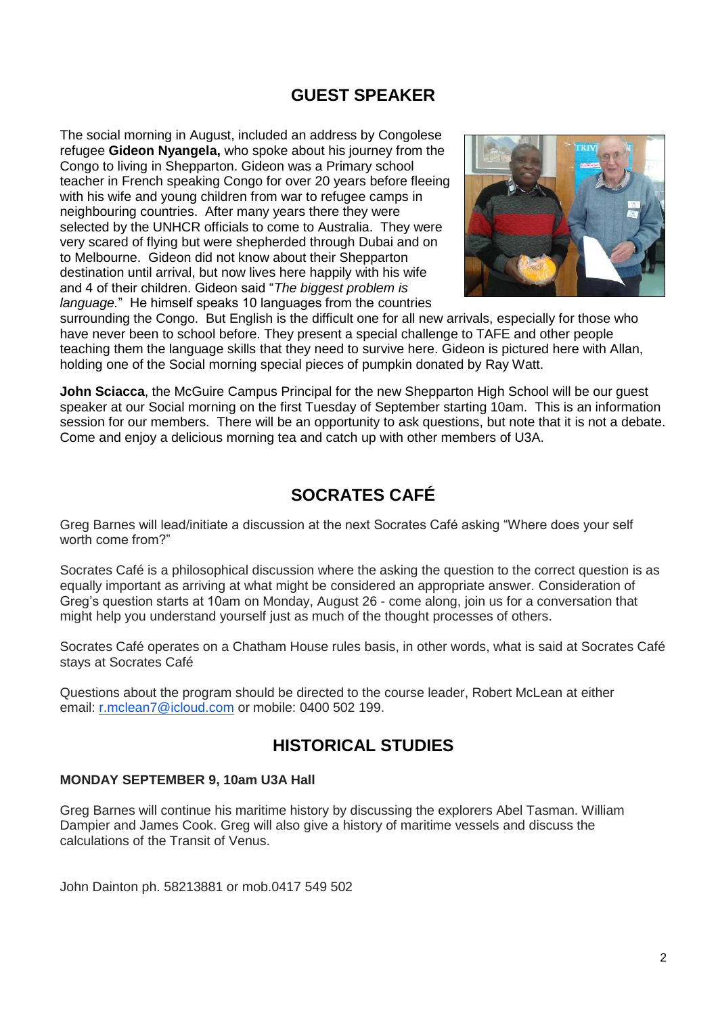## **GUEST SPEAKER**

The social morning in August, included an address by Congolese refugee **Gideon Nyangela,** who spoke about his journey from the Congo to living in Shepparton. Gideon was a Primary school teacher in French speaking Congo for over 20 years before fleeing with his wife and young children from war to refugee camps in neighbouring countries. After many years there they were selected by the UNHCR officials to come to Australia. They were very scared of flying but were shepherded through Dubai and on to Melbourne. Gideon did not know about their Shepparton destination until arrival, but now lives here happily with his wife and 4 of their children. Gideon said "*The biggest problem is language.*" He himself speaks 10 languages from the countries



surrounding the Congo. But English is the difficult one for all new arrivals, especially for those who have never been to school before. They present a special challenge to TAFE and other people teaching them the language skills that they need to survive here. Gideon is pictured here with Allan, holding one of the Social morning special pieces of pumpkin donated by Ray Watt.

**John Sciacca**, the McGuire Campus Principal for the new Shepparton High School will be our guest speaker at our Social morning on the first Tuesday of September starting 10am. This is an information session for our members. There will be an opportunity to ask questions, but note that it is not a debate. Come and enjoy a delicious morning tea and catch up with other members of U3A.

## **SOCRATES CAFÉ**

Greg Barnes will lead/initiate a discussion at the next Socrates Café asking "Where does your self worth come from?"

Socrates Café is a philosophical discussion where the asking the question to the correct question is as equally important as arriving at what might be considered an appropriate answer. Consideration of Greg's question starts at 10am on Monday, August 26 - come along, join us for a conversation that might help you understand yourself just as much of the thought processes of others.

Socrates Café operates on a Chatham House rules basis, in other words, what is said at Socrates Café stays at Socrates Café

Questions about the program should be directed to the course leader, Robert McLean at either email: [r.mclean7@icloud.com](mailto:r.mclean7@icloud.com) or mobile: 0400 502 199.

## **HISTORICAL STUDIES**

#### **MONDAY SEPTEMBER 9, 10am U3A Hall**

Greg Barnes will continue his maritime history by discussing the explorers Abel Tasman. William Dampier and James Cook. Greg will also give a history of maritime vessels and discuss the calculations of the Transit of Venus.

John Dainton ph. 58213881 or mob.0417 549 502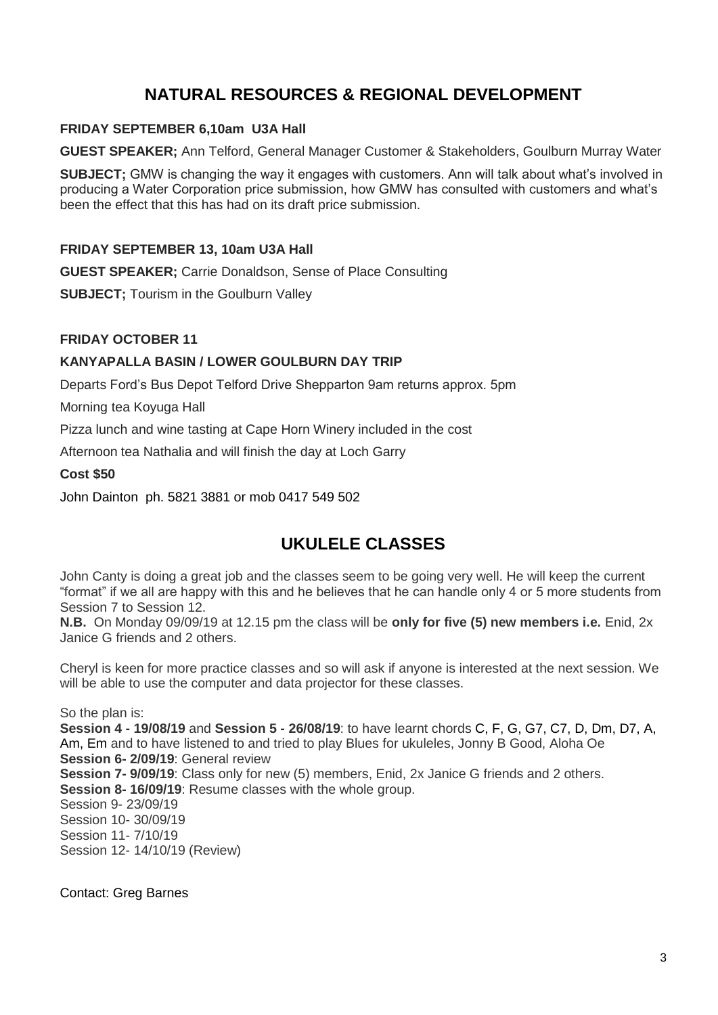## **NATURAL RESOURCES & REGIONAL DEVELOPMENT**

#### **FRIDAY SEPTEMBER 6,10am U3A Hall**

**GUEST SPEAKER;** Ann Telford, General Manager Customer & Stakeholders, Goulburn Murray Water

**SUBJECT;** GMW is changing the way it engages with customers. Ann will talk about what's involved in producing a Water Corporation price submission, how GMW has consulted with customers and what's been the effect that this has had on its draft price submission.

#### **FRIDAY SEPTEMBER 13, 10am U3A Hall**

**GUEST SPEAKER;** Carrie Donaldson, Sense of Place Consulting

**SUBJECT**; Tourism in the Goulburn Valley

#### **FRIDAY OCTOBER 11**

#### **KANYAPALLA BASIN / LOWER GOULBURN DAY TRIP**

Departs Ford's Bus Depot Telford Drive Shepparton 9am returns approx. 5pm

Morning tea Koyuga Hall

Pizza lunch and wine tasting at Cape Horn Winery included in the cost

Afternoon tea Nathalia and will finish the day at Loch Garry

#### **Cost \$50**

John Dainton ph. 5821 3881 or mob 0417 549 502

## **UKULELE CLASSES**

John Canty is doing a great job and the classes seem to be going very well. He will keep the current "format" if we all are happy with this and he believes that he can handle only 4 or 5 more students from Session 7 to Session 12.

**N.B.** On Monday 09/09/19 at 12.15 pm the class will be **only for five (5) new members i.e.** Enid, 2x Janice G friends and 2 others.

Cheryl is keen for more practice classes and so will ask if anyone is interested at the next session. We will be able to use the computer and data projector for these classes.

So the plan is: **Session 4 - 19/08/19** and **Session 5 - 26/08/19**: to have learnt chords C, F, G, G7, C7, D, Dm, D7, A, Am, Em and to have listened to and tried to play Blues for ukuleles, Jonny B Good, Aloha Oe **Session 6- 2/09/19**: General review **Session 7- 9/09/19**: Class only for new (5) members, Enid, 2x Janice G friends and 2 others. **Session 8- 16/09/19**: Resume classes with the whole group. Session 9- 23/09/19 Session 10- 30/09/19 Session 11- 7/10/19 Session 12- 14/10/19 (Review)

Contact: Greg Barnes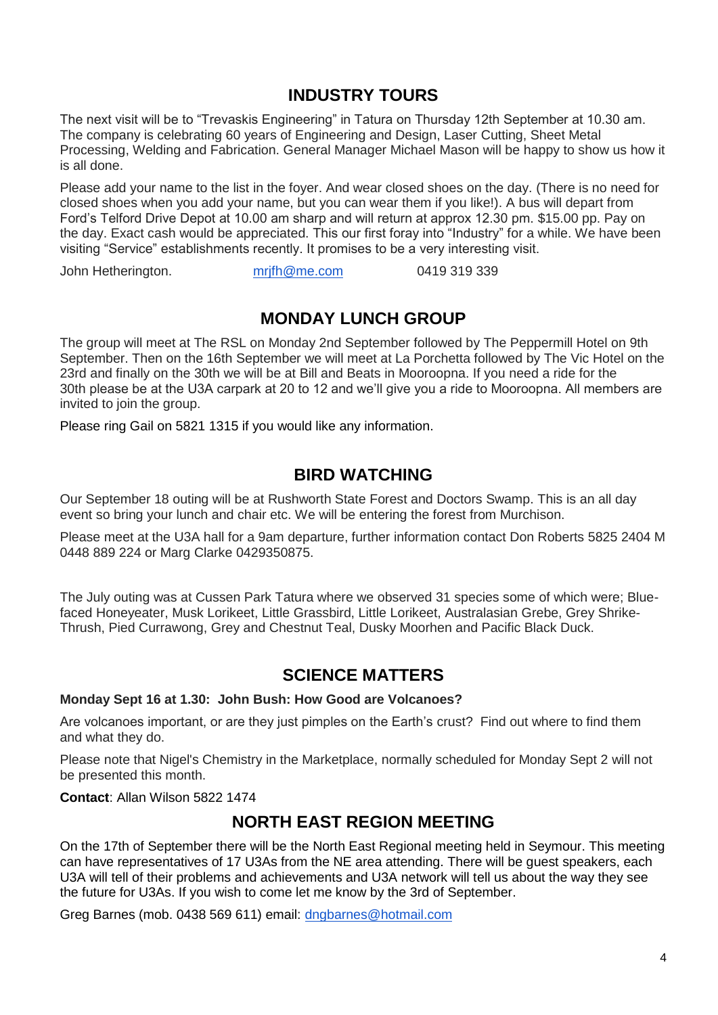## **INDUSTRY TOURS**

The next visit will be to "Trevaskis Engineering" in Tatura on Thursday 12th September at 10.30 am. The company is celebrating 60 years of Engineering and Design, Laser Cutting, Sheet Metal Processing, Welding and Fabrication. General Manager Michael Mason will be happy to show us how it is all done.

Please add your name to the list in the foyer. And wear closed shoes on the day. (There is no need for closed shoes when you add your name, but you can wear them if you like!). A bus will depart from Ford's Telford Drive Depot at 10.00 am sharp and will return at approx 12.30 pm. \$15.00 pp. Pay on the day. Exact cash would be appreciated. This our first foray into "Industry" for a while. We have been visiting "Service" establishments recently. It promises to be a very interesting visit.

John Hetherington. [mrjfh@me.com](mailto:mrjfh@me.com) 0419 319 339

## **MONDAY LUNCH GROUP**

The group will meet at The RSL on Monday 2nd September followed by The Peppermill Hotel on 9th September. Then on the 16th September we will meet at La Porchetta followed by The Vic Hotel on the 23rd and finally on the 30th we will be at Bill and Beats in Mooroopna. If you need a ride for the 30th please be at the U3A carpark at 20 to 12 and we'll give you a ride to Mooroopna. All members are invited to join the group.

Please ring Gail on 5821 1315 if you would like any information.

## **BIRD WATCHING**

Our September 18 outing will be at Rushworth State Forest and Doctors Swamp. This is an all day event so bring your lunch and chair etc. We will be entering the forest from Murchison.

Please meet at the U3A hall for a 9am departure, further information contact Don Roberts 5825 2404 M 0448 889 224 or Marg Clarke 0429350875.

The July outing was at Cussen Park Tatura where we observed 31 species some of which were; Bluefaced Honeyeater, Musk Lorikeet, Little Grassbird, Little Lorikeet, Australasian Grebe, Grey Shrike-Thrush, Pied Currawong, Grey and Chestnut Teal, Dusky Moorhen and Pacific Black Duck.

## **SCIENCE MATTERS**

#### **Monday Sept 16 at 1.30: John Bush: How Good are Volcanoes?**

Are volcanoes important, or are they just pimples on the Earth's crust? Find out where to find them and what they do.

Please note that Nigel's Chemistry in the Marketplace, normally scheduled for Monday Sept 2 will not be presented this month.

#### **Contact**: Allan Wilson 5822 1474

## **NORTH EAST REGION MEETING**

On the 17th of September there will be the North East Regional meeting held in Seymour. This meeting can have representatives of 17 U3As from the NE area attending. There will be guest speakers, each U3A will tell of their problems and achievements and U3A network will tell us about the way they see the future for U3As. If you wish to come let me know by the 3rd of September.

Greg Barnes (mob. 0438 569 611) email: [dngbarnes@hotmail.com](mailto:dngbarnes@hotmail.com)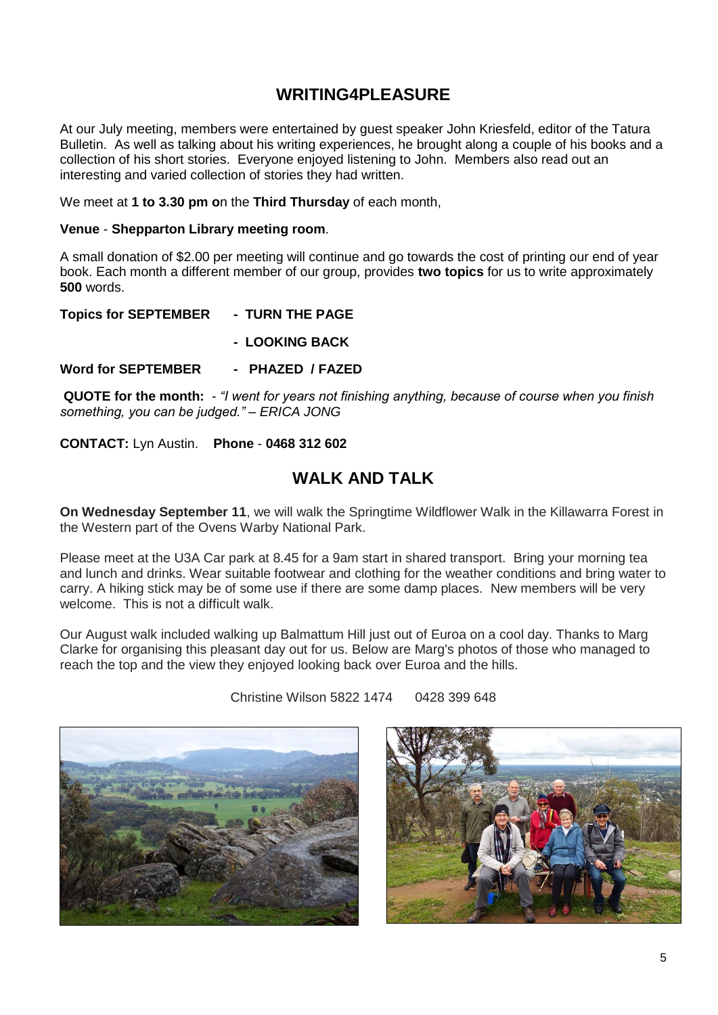## **WRITING4PLEASURE**

At our July meeting, members were entertained by guest speaker John Kriesfeld, editor of the Tatura Bulletin. As well as talking about his writing experiences, he brought along a couple of his books and a collection of his short stories. Everyone enjoyed listening to John. Members also read out an interesting and varied collection of stories they had written.

We meet at **1 to 3.30 pm o**n the **Third Thursday** of each month,

#### **Venue** - **Shepparton Library meeting room**.

A small donation of \$2.00 per meeting will continue and go towards the cost of printing our end of year book. Each month a different member of our group, provides **two topics** for us to write approximately **500** words.

**Topics for SEPTEMBER - TURN THE PAGE**

**- LOOKING BACK**

**Word for SEPTEMBER - PHAZED / FAZED**

**QUOTE for the month:** *- "I went for years not finishing anything, because of course when you finish something, you can be judged." – ERICA JONG*

**CONTACT:** Lyn Austin. **Phone** - **0468 312 602**

#### **WALK AND TALK**

**On Wednesday September 11**, we will walk the Springtime Wildflower Walk in the Killawarra Forest in the Western part of the Ovens Warby National Park.

Please meet at the U3A Car park at 8.45 for a 9am start in shared transport. Bring your morning tea and lunch and drinks. Wear suitable footwear and clothing for the weather conditions and bring water to carry. A hiking stick may be of some use if there are some damp places. New members will be very welcome. This is not a difficult walk.

Our August walk included walking up Balmattum Hill just out of Euroa on a cool day. Thanks to Marg Clarke for organising this pleasant day out for us. Below are Marg's photos of those who managed to reach the top and the view they enjoyed looking back over Euroa and the hills.

Christine Wilson 5822 1474 0428 399 648